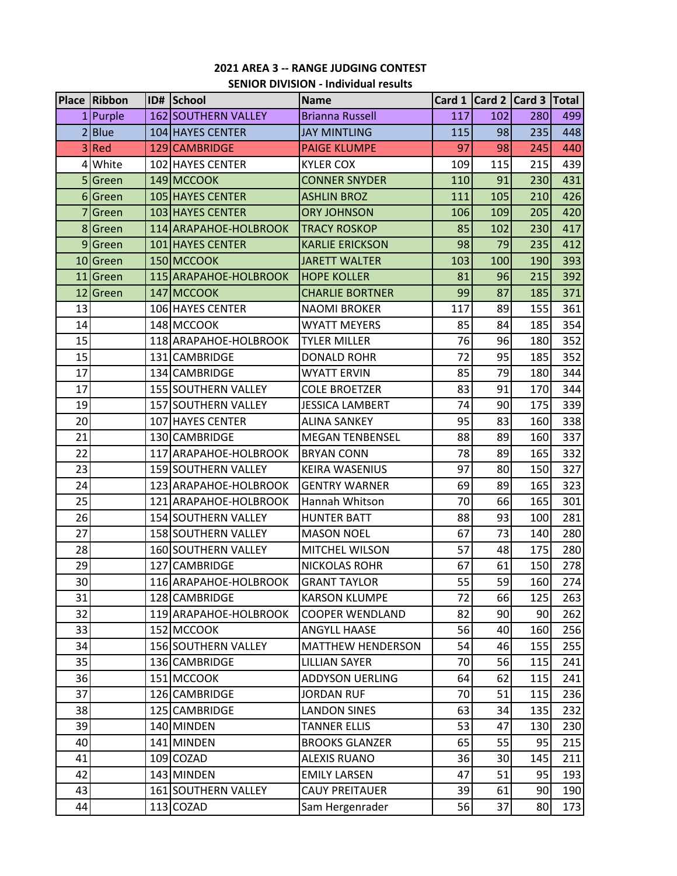# **2021 AREA 3 -- RANGE JUDGING CONTEST SENIOR DIVISION - Individual results**

|                 | <b>Place Ribbon</b> | ID# School                 | <b>Name</b>              |     | Card 1   Card 2   Card 3   Total |     |     |
|-----------------|---------------------|----------------------------|--------------------------|-----|----------------------------------|-----|-----|
|                 | 1 Purple            | <b>162 SOUTHERN VALLEY</b> | <b>Brianna Russell</b>   | 117 | 102                              | 280 | 499 |
|                 | 2Blue               | 104 HAYES CENTER           | <b>JAY MINTLING</b>      | 115 | 98                               | 235 | 448 |
|                 | 3Red                | 129 CAMBRIDGE              | <b>PAIGE KLUMPE</b>      | 97  | 98                               | 245 | 440 |
|                 | 4 White             | 102 HAYES CENTER           | <b>KYLER COX</b>         | 109 | 115                              | 215 | 439 |
|                 | Green               | 149 MCCOOK                 | <b>CONNER SNYDER</b>     | 110 | 91                               | 230 | 431 |
|                 | 6 Green             | 105 HAYES CENTER           | <b>ASHLIN BROZ</b>       | 111 | 105                              | 210 | 426 |
|                 | Green               | 103 HAYES CENTER           | <b>ORY JOHNSON</b>       | 106 | 109                              | 205 | 420 |
|                 | 8 Green             | 114 ARAPAHOE-HOLBROOK      | <b>TRACY ROSKOP</b>      | 85  | 102                              | 230 | 417 |
|                 | 9 Green             | 101 HAYES CENTER           | <b>KARLIE ERICKSON</b>   | 98  | 79                               | 235 | 412 |
|                 | 10 Green            | 150 MCCOOK                 | <b>JARETT WALTER</b>     | 103 | 100                              | 190 | 393 |
|                 | 11 Green            | 115 ARAPAHOE-HOLBROOK      | <b>HOPE KOLLER</b>       | 81  | 96                               | 215 | 392 |
|                 | 12 Green            | 147 MCCOOK                 | <b>CHARLIE BORTNER</b>   | 99  | 87                               | 185 | 371 |
| 13              |                     | 106 HAYES CENTER           | <b>NAOMI BROKER</b>      | 117 | 89                               | 155 | 361 |
| 14              |                     | 148 MCCOOK                 | <b>WYATT MEYERS</b>      | 85  | 84                               | 185 | 354 |
| 15              |                     | 118 ARAPAHOE-HOLBROOK      | <b>TYLER MILLER</b>      | 76  | 96                               | 180 | 352 |
| 15              |                     | 131 CAMBRIDGE              | <b>DONALD ROHR</b>       | 72  | 95                               | 185 | 352 |
| 17              |                     | 134 CAMBRIDGE              | <b>WYATT ERVIN</b>       | 85  | 79                               | 180 | 344 |
| 17              |                     | 155 SOUTHERN VALLEY        | <b>COLE BROETZER</b>     | 83  | 91                               | 170 | 344 |
| 19              |                     | 157 SOUTHERN VALLEY        | <b>JESSICA LAMBERT</b>   | 74  | 90                               | 175 | 339 |
| 20              |                     | 107 HAYES CENTER           | <b>ALINA SANKEY</b>      | 95  | 83                               | 160 | 338 |
| 21              |                     | 130 CAMBRIDGE              | <b>MEGAN TENBENSEL</b>   | 88  | 89                               | 160 | 337 |
| 22              |                     | 117 ARAPAHOE-HOLBROOK      | <b>BRYAN CONN</b>        | 78  | 89                               | 165 | 332 |
| 23              |                     | 159 SOUTHERN VALLEY        | <b>KEIRA WASENIUS</b>    | 97  | 80                               | 150 | 327 |
| 24              |                     | 123 ARAPAHOE-HOLBROOK      | <b>GENTRY WARNER</b>     | 69  | 89                               | 165 | 323 |
| 25              |                     | 121 ARAPAHOE-HOLBROOK      | Hannah Whitson           | 70  | 66                               | 165 | 301 |
| 26              |                     | 154 SOUTHERN VALLEY        | <b>HUNTER BATT</b>       | 88  | 93                               | 100 | 281 |
| 27              |                     | 158 SOUTHERN VALLEY        | <b>MASON NOEL</b>        | 67  | 73                               | 140 | 280 |
| 28              |                     | 160 SOUTHERN VALLEY        | MITCHEL WILSON           | 57  | 48                               | 175 | 280 |
| 29              |                     | 127 CAMBRIDGE              | NICKOLAS ROHR            | 67  | 61                               | 150 | 278 |
| 30 <sup>°</sup> |                     | 116 ARAPAHOE-HOLBROOK      | <b>GRANT TAYLOR</b>      | 55  | 59                               | 160 | 274 |
| 31              |                     | 128 CAMBRIDGE              | <b>KARSON KLUMPE</b>     | 72  | 66                               | 125 | 263 |
| 32              |                     | 119 ARAPAHOE-HOLBROOK      | <b>COOPER WENDLAND</b>   | 82  | 90                               | 90  | 262 |
| 33              |                     | 152 MCCOOK                 | <b>ANGYLL HAASE</b>      | 56  | 40                               | 160 | 256 |
| 34              |                     | 156 SOUTHERN VALLEY        | <b>MATTHEW HENDERSON</b> | 54  | 46                               | 155 | 255 |
| 35              |                     | 136 CAMBRIDGE              | <b>LILLIAN SAYER</b>     | 70  | 56                               | 115 | 241 |
| 36              |                     | 151 MCCOOK                 | ADDYSON UERLING          | 64  | 62                               | 115 | 241 |
| 37              |                     | 126 CAMBRIDGE              | <b>JORDAN RUF</b>        | 70  | 51                               | 115 | 236 |
| 38              |                     | 125 CAMBRIDGE              | <b>LANDON SINES</b>      | 63  | 34                               | 135 | 232 |
| 39              |                     | 140 MINDEN                 | <b>TANNER ELLIS</b>      | 53  | 47                               | 130 | 230 |
| 40              |                     | 141 MINDEN                 | <b>BROOKS GLANZER</b>    | 65  | 55                               | 95  | 215 |
| 41              |                     | 109 COZAD                  | <b>ALEXIS RUANO</b>      | 36  | 30                               | 145 | 211 |
| 42              |                     | 143 MINDEN                 | <b>EMILY LARSEN</b>      | 47  | 51                               | 95  | 193 |
| 43              |                     | 161 SOUTHERN VALLEY        | <b>CAUY PREITAUER</b>    | 39  | 61                               | 90  | 190 |
| 44              |                     | 113 COZAD                  | Sam Hergenrader          | 56  | 37                               | 80  | 173 |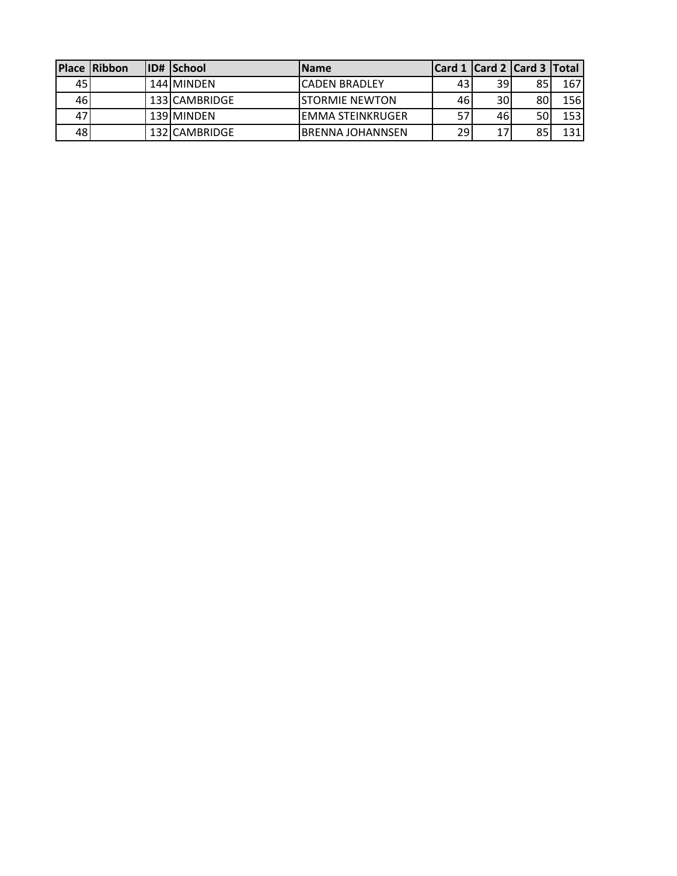|      | <b>Place Ribbon</b> | ID# School    | <b>Name</b>       |      |     | Card 1 Card 2 Card 3 Total |            |
|------|---------------------|---------------|-------------------|------|-----|----------------------------|------------|
| 451  |                     | 144 MINDEN    | lCADEN BRADLEY    | 431  | 39  | 85                         | 167        |
| 46I  |                     | 133 CAMBRIDGE | ISTORMIE NEWTON   | 461  | 30  | 80                         | <b>156</b> |
| 47 I |                     | 139 MINDEN    | lemma steinkruger | 57   | 461 | 50                         | 153        |
| 48 I |                     | 132 CAMBRIDGE | IBRENNA JOHANNSEN | ا 29 | 17  | QE                         | 131        |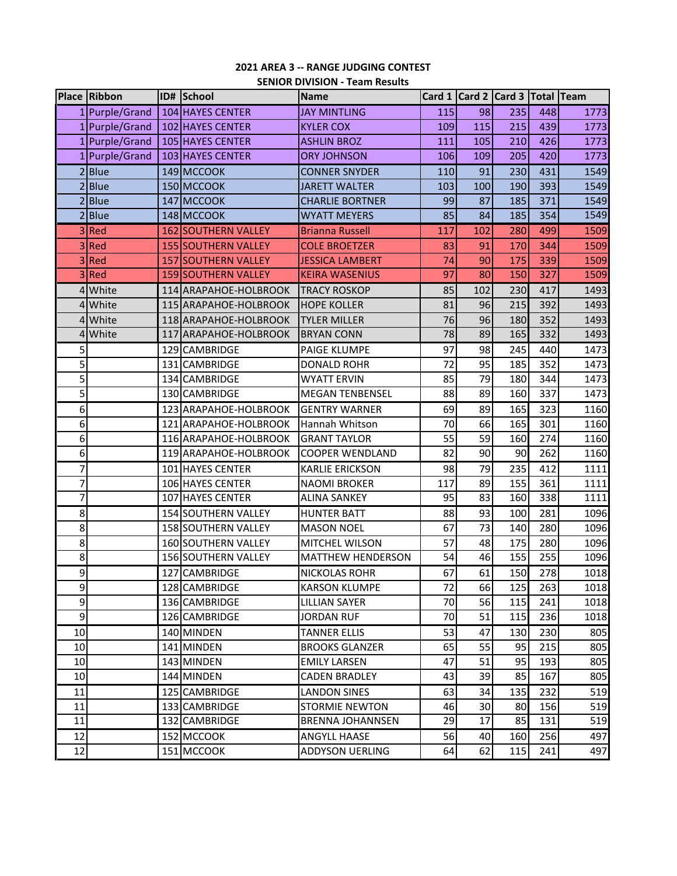### **2021 AREA 3 -- RANGE JUDGING CONTEST SENIOR DIVISION - Team Results**

|              | <b>Place Ribbon</b> | ID# School                 | <b>Name</b>              |     | Card 1 Card 2 Card 3 Total Team |     |     |      |
|--------------|---------------------|----------------------------|--------------------------|-----|---------------------------------|-----|-----|------|
|              | 1  Purple/Grand     | 104 HAYES CENTER           | <b>JAY MINTLING</b>      | 115 | 98                              | 235 | 448 | 1773 |
|              | 1 Purple/Grand      | 102 HAYES CENTER           | <b>KYLER COX</b>         | 109 | 115                             | 215 | 439 | 1773 |
|              | 1 Purple/Grand      | 105 HAYES CENTER           | <b>ASHLIN BROZ</b>       | 111 | 105                             | 210 | 426 | 1773 |
|              | 1 Purple/Grand      | 103 HAYES CENTER           | <b>ORY JOHNSON</b>       | 106 | 109                             | 205 | 420 | 1773 |
|              | 2 Blue              | 149 MCCOOK                 | <b>CONNER SNYDER</b>     | 110 | 91                              | 230 | 431 | 1549 |
|              | 2 Blue              | 150 MCCOOK                 | <b>JARETT WALTER</b>     | 103 | 100                             | 190 | 393 | 1549 |
|              | 2 Blue              | 147 MCCOOK                 | <b>CHARLIE BORTNER</b>   | 99  | 87                              | 185 | 371 | 1549 |
|              | 2 Blue              | 148 MCCOOK                 | <b>WYATT MEYERS</b>      | 85  | 84                              | 185 | 354 | 1549 |
|              | 3Red                | 162 SOUTHERN VALLEY        | <b>Brianna Russell</b>   | 117 | 102                             | 280 | 499 | 1509 |
|              | 3 Red               | <b>155 SOUTHERN VALLEY</b> | <b>COLE BROETZER</b>     | 83  | 91                              | 170 | 344 | 1509 |
| 3            | Red                 | 157 SOUTHERN VALLEY        | <b>JESSICA LAMBERT</b>   | 74  | 90                              | 175 | 339 | 1509 |
|              | 3Red                | 159 SOUTHERN VALLEY        | <b>KEIRA WASENIUS</b>    | 97  | 80                              | 150 | 327 | 1509 |
|              | 4 White             | 114 ARAPAHOE-HOLBROOK      | <b>TRACY ROSKOP</b>      | 85  | 102                             | 230 | 417 | 1493 |
|              | 4 White             | 115 ARAPAHOE-HOLBROOK      | <b>HOPE KOLLER</b>       | 81  | 96                              | 215 | 392 | 1493 |
|              | 4 White             | 118 ARAPAHOE-HOLBROOK      | <b>TYLER MILLER</b>      | 76  | 96                              | 180 | 352 | 1493 |
| 4            | White               | 117 ARAPAHOE-HOLBROOK      | <b>BRYAN CONN</b>        | 78  | 89                              | 165 | 332 | 1493 |
| 5            |                     | 129 CAMBRIDGE              | <b>PAIGE KLUMPE</b>      | 97  | 98                              | 245 | 440 | 1473 |
| 5            |                     | 131 CAMBRIDGE              | <b>DONALD ROHR</b>       | 72  | 95                              | 185 | 352 | 1473 |
| 5            |                     | 134 CAMBRIDGE              | <b>WYATT ERVIN</b>       | 85  | 79                              | 180 | 344 | 1473 |
| 5            |                     | 130 CAMBRIDGE              | <b>MEGAN TENBENSEL</b>   | 88  | 89                              | 160 | 337 | 1473 |
| 6            |                     | 123 ARAPAHOE-HOLBROOK      | <b>GENTRY WARNER</b>     | 69  | 89                              | 165 | 323 | 1160 |
| 6            |                     | 121 ARAPAHOE-HOLBROOK      | Hannah Whitson           | 70  | 66                              | 165 | 301 | 1160 |
| 6            |                     | 116 ARAPAHOE-HOLBROOK      | <b>GRANT TAYLOR</b>      | 55  | 59                              | 160 | 274 | 1160 |
| 6            |                     | 119 ARAPAHOE-HOLBROOK      | <b>COOPER WENDLAND</b>   | 82  | 90                              | 90  | 262 | 1160 |
| 7            |                     | 101 HAYES CENTER           | <b>KARLIE ERICKSON</b>   | 98  | 79                              | 235 | 412 | 1111 |
| 7            |                     | 106 HAYES CENTER           | <b>NAOMI BROKER</b>      | 117 | 89                              | 155 | 361 | 1111 |
| 7            |                     | 107 HAYES CENTER           | <b>ALINA SANKEY</b>      | 95  | 83                              | 160 | 338 | 1111 |
| 8            |                     | 154 SOUTHERN VALLEY        | <b>HUNTER BATT</b>       | 88  | 93                              | 100 | 281 | 1096 |
| 8            |                     | 158 SOUTHERN VALLEY        | <b>MASON NOEL</b>        | 67  | 73                              | 140 | 280 | 1096 |
| $\mathbf{8}$ |                     | 160 SOUTHERN VALLEY        | MITCHEL WILSON           | 57  | 48                              | 175 | 280 | 1096 |
| 8            |                     | 156 SOUTHERN VALLEY        | <b>MATTHEW HENDERSON</b> | 54  | 46                              | 155 | 255 | 1096 |
| 9            |                     | 127 CAMBRIDGE              | <b>NICKOLAS ROHR</b>     | 67  | 61                              | 150 | 278 | 1018 |
| 9            |                     | 128 CAMBRIDGE              | <b>KARSON KLUMPE</b>     | 72  | 66                              | 125 | 263 | 1018 |
| 9            |                     | 136 CAMBRIDGE              | <b>LILLIAN SAYER</b>     | 70  | 56                              | 115 | 241 | 1018 |
| 9            |                     | 126 CAMBRIDGE              | JORDAN RUF               | 70  | 51                              | 115 | 236 | 1018 |
| 10           |                     | 140 MINDEN                 | <b>TANNER ELLIS</b>      | 53  | 47                              | 130 | 230 | 805  |
| 10           |                     | 141 MINDEN                 | <b>BROOKS GLANZER</b>    | 65  | 55                              | 95  | 215 | 805  |
| 10           |                     | 143 MINDEN                 | <b>EMILY LARSEN</b>      | 47  | 51                              | 95  | 193 | 805  |
| 10           |                     | 144 MINDEN                 | <b>CADEN BRADLEY</b>     | 43  | 39                              | 85  | 167 | 805  |
| 11           |                     | 125 CAMBRIDGE              | <b>LANDON SINES</b>      | 63  | 34                              | 135 | 232 | 519  |
| 11           |                     | 133 CAMBRIDGE              | <b>STORMIE NEWTON</b>    | 46  | 30                              | 80  | 156 | 519  |
| 11           |                     | 132 CAMBRIDGE              | <b>BRENNA JOHANNSEN</b>  | 29  | 17                              | 85  | 131 | 519  |
| 12           |                     | 152 MCCOOK                 | <b>ANGYLL HAASE</b>      | 56  | 40                              | 160 | 256 | 497  |
| 12           |                     | 151 MCCOOK                 | <b>ADDYSON UERLING</b>   | 64  | 62                              | 115 | 241 | 497  |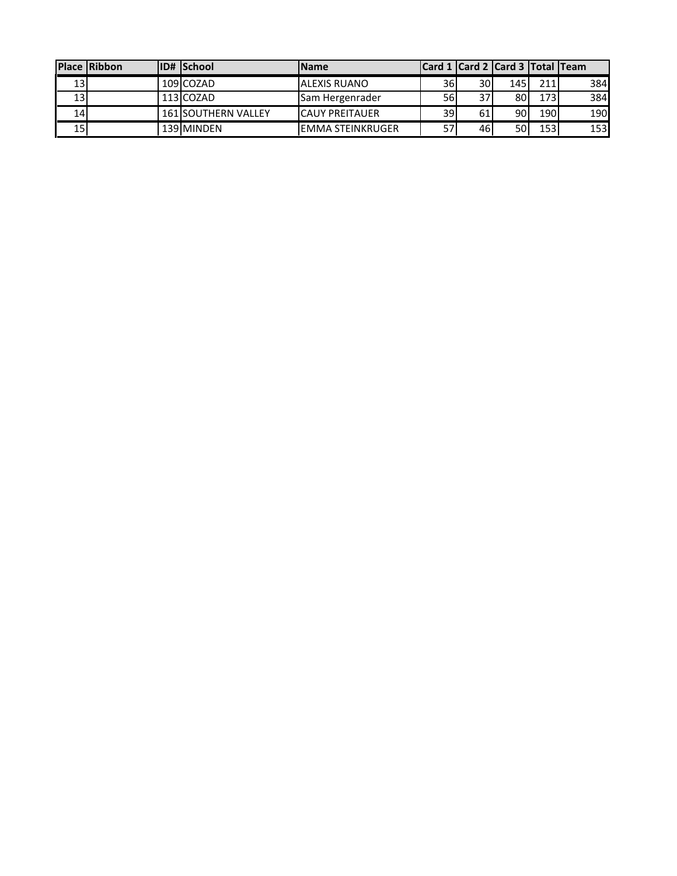|                 | Place Ribbon | <b>ID# School</b>          | <b>Name</b>            |                 |                 | Card 1 Card 2 Card 3 Total Team |     |            |
|-----------------|--------------|----------------------------|------------------------|-----------------|-----------------|---------------------------------|-----|------------|
| 13              |              | 109 COZAD                  | <b>JALEXIS RUANO</b>   | 36I             | 30I             | <b>145</b>                      | 211 | 384        |
| 13              |              | 113 COZAD                  | Sam Hergenrader        | 56 I            | 37 <sup>1</sup> | 80                              | 173 | 384        |
| 14 <sub>1</sub> |              | <b>161 SOUTHERN VALLEY</b> | <b>ICAUY PREITAUER</b> | 39 <sup>1</sup> | 61              | 90                              | 190 | 190        |
| 15              |              | 139 MINDEN                 | IEMMA STEINKRUGER      |                 | 46              | 50                              | 153 | <b>153</b> |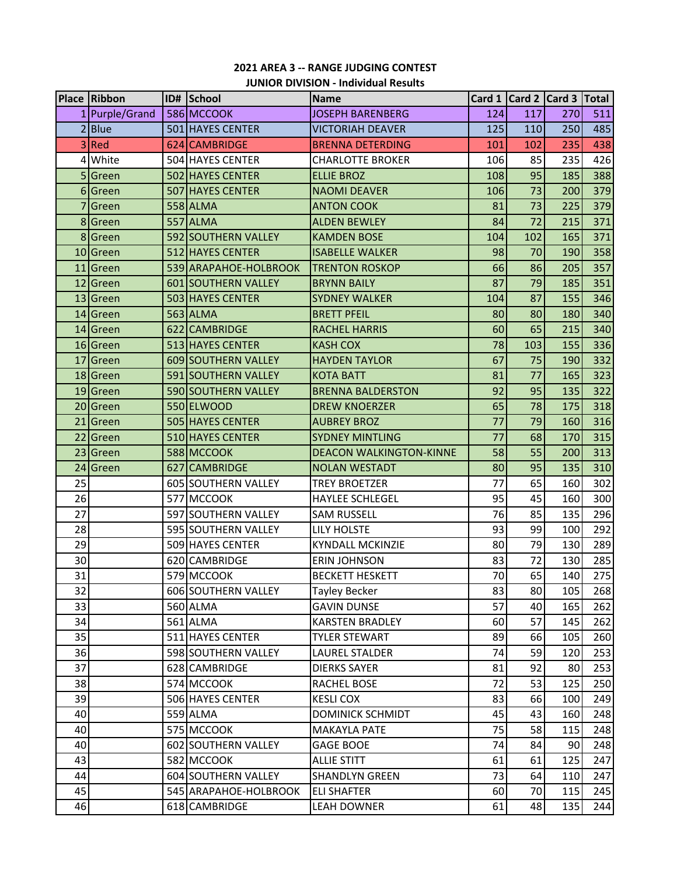# **2021 AREA 3 -- RANGE JUDGING CONTEST JUNIOR DIVISION - Individual Results**

|                 | Place Ribbon   | ID# School            | <b>Name</b>                    |     |     | Card 1   Card 2   Card 3   Total |     |
|-----------------|----------------|-----------------------|--------------------------------|-----|-----|----------------------------------|-----|
|                 | 1 Purple/Grand | 586 MCCOOK            | <b>JOSEPH BARENBERG</b>        | 124 | 117 | 270                              | 511 |
|                 | 2 Blue         | 501 HAYES CENTER      | <b>VICTORIAH DEAVER</b>        | 125 | 110 | 250                              | 485 |
|                 | 3 Red          | 624 CAMBRIDGE         | <b>BRENNA DETERDING</b>        | 101 | 102 | 235                              | 438 |
|                 | 4 White        | 504 HAYES CENTER      | <b>CHARLOTTE BROKER</b>        | 106 | 85  | 235                              | 426 |
|                 | 5 Green        | 502 HAYES CENTER      | <b>ELLIE BROZ</b>              | 108 | 95  | 185                              | 388 |
|                 | 6 Green        | 507 HAYES CENTER      | <b>NAOMI DEAVER</b>            | 106 | 73  | 200                              | 379 |
| 7               | Green          | 558 ALMA              | <b>ANTON COOK</b>              | 81  | 73  | 225                              | 379 |
|                 | 8 Green        | 557 ALMA              | <b>ALDEN BEWLEY</b>            | 84  | 72  | 215                              | 371 |
|                 | 8 Green        | 592 SOUTHERN VALLEY   | <b>KAMDEN BOSE</b>             | 104 | 102 | 165                              | 371 |
|                 | 10 Green       | 512 HAYES CENTER      | <b>ISABELLE WALKER</b>         | 98  | 70  | 190                              | 358 |
|                 | 11 Green       | 539 ARAPAHOE-HOLBROOK | <b>TRENTON ROSKOP</b>          | 66  | 86  | 205                              | 357 |
|                 | 12 Green       | 601 SOUTHERN VALLEY   | <b>BRYNN BAILY</b>             | 87  | 79  | 185                              | 351 |
|                 | 13 Green       | 503 HAYES CENTER      | <b>SYDNEY WALKER</b>           | 104 | 87  | 155                              | 346 |
|                 | 14 Green       | 563 ALMA              | <b>BRETT PFEIL</b>             | 80  | 80  | 180                              | 340 |
|                 | 14 Green       | 622 CAMBRIDGE         | <b>RACHEL HARRIS</b>           | 60  | 65  | 215                              | 340 |
|                 | 16 Green       | 513 HAYES CENTER      | <b>KASH COX</b>                | 78  | 103 | 155                              | 336 |
|                 | 17 Green       | 609 SOUTHERN VALLEY   | <b>HAYDEN TAYLOR</b>           | 67  | 75  | 190                              | 332 |
|                 | 18 Green       | 591 SOUTHERN VALLEY   | <b>KOTA BATT</b>               | 81  | 77  | 165                              | 323 |
|                 | 19 Green       | 590 SOUTHERN VALLEY   | <b>BRENNA BALDERSTON</b>       | 92  | 95  | 135                              | 322 |
|                 | 20 Green       | 550 ELWOOD            | <b>DREW KNOERZER</b>           | 65  | 78  | 175                              | 318 |
|                 | 21 Green       | 505 HAYES CENTER      | <b>AUBREY BROZ</b>             | 77  | 79  | 160                              | 316 |
|                 | 22 Green       | 510 HAYES CENTER      | <b>SYDNEY MINTLING</b>         | 77  | 68  | 170                              | 315 |
|                 | 23 Green       | 588 MCCOOK            | <b>DEACON WALKINGTON-KINNE</b> | 58  | 55  | 200                              | 313 |
|                 | 24 Green       | 627 CAMBRIDGE         | <b>NOLAN WESTADT</b>           | 80  | 95  | 135                              | 310 |
| 25              |                | 605 SOUTHERN VALLEY   | <b>TREY BROETZER</b>           | 77  | 65  | 160                              | 302 |
| 26              |                | 577 MCCOOK            | <b>HAYLEE SCHLEGEL</b>         | 95  | 45  | 160                              | 300 |
| 27              |                | 597 SOUTHERN VALLEY   | <b>SAM RUSSELL</b>             | 76  | 85  | 135                              | 296 |
| 28              |                | 595 SOUTHERN VALLEY   | <b>LILY HOLSTE</b>             | 93  | 99  | 100                              | 292 |
| 29              |                | 509 HAYES CENTER      | <b>KYNDALL MCKINZIE</b>        | 80  | 79  | 130                              | 289 |
| 30 <sup>1</sup> |                | 620 CAMBRIDGE         | <b>ERIN JOHNSON</b>            | 83  | 72  | 130                              | 285 |
| 31              |                | 579 MCCOOK            | <b>BECKETT HESKETT</b>         | 70  | 65  | 140                              | 275 |
| 32              |                | 606 SOUTHERN VALLEY   | <b>Tayley Becker</b>           | 83  | 80  | 105                              | 268 |
| 33              |                | 560 ALMA              | <b>GAVIN DUNSE</b>             | 57  | 40  | 165                              | 262 |
| 34              |                | 561 ALMA              | <b>KARSTEN BRADLEY</b>         | 60  | 57  | 145                              | 262 |
| 35              |                | 511 HAYES CENTER      | <b>TYLER STEWART</b>           | 89  | 66  | 105                              | 260 |
| 36              |                | 598 SOUTHERN VALLEY   | <b>LAUREL STALDER</b>          | 74  | 59  | 120                              | 253 |
| 37              |                | 628 CAMBRIDGE         | <b>DIERKS SAYER</b>            | 81  | 92  | 80                               | 253 |
| 38              |                | 574 MCCOOK            | RACHEL BOSE                    | 72  | 53  | 125                              | 250 |
| 39              |                | 506 HAYES CENTER      | <b>KESLI COX</b>               | 83  | 66  | 100                              | 249 |
| 40              |                | 559 ALMA              | <b>DOMINICK SCHMIDT</b>        | 45  | 43  | 160                              | 248 |
| 40              |                | 575 MCCOOK            | <b>MAKAYLA PATE</b>            | 75  | 58  | 115                              | 248 |
| 40              |                | 602 SOUTHERN VALLEY   | <b>GAGE BOOE</b>               | 74  | 84  | 90                               | 248 |
| 43              |                | 582 MCCOOK            | <b>ALLIE STITT</b>             | 61  | 61  | 125                              | 247 |
| 44              |                | 604 SOUTHERN VALLEY   | <b>SHANDLYN GREEN</b>          | 73  | 64  | 110                              | 247 |
| 45              |                | 545 ARAPAHOE-HOLBROOK | <b>ELI SHAFTER</b>             | 60  | 70  | 115                              | 245 |
| 46              |                | 618 CAMBRIDGE         | <b>LEAH DOWNER</b>             | 61  | 48  | 135                              | 244 |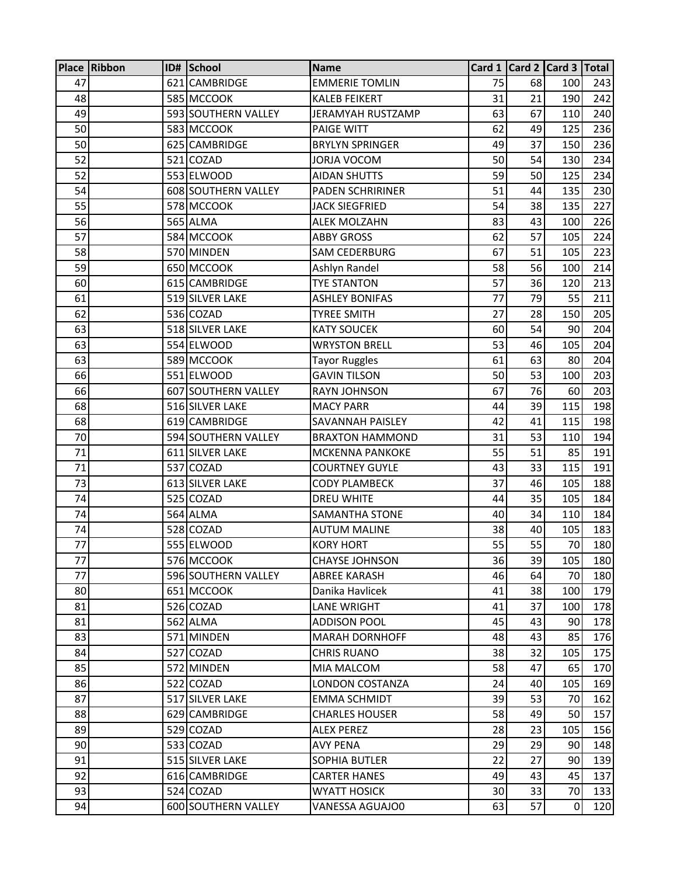|    | Place Ribbon | ID# School          | <b>Name</b>             |    |    | Card 1 Card 2 Card 3 Total |     |
|----|--------------|---------------------|-------------------------|----|----|----------------------------|-----|
| 47 |              | 621 CAMBRIDGE       | <b>EMMERIE TOMLIN</b>   | 75 | 68 | 100                        | 243 |
| 48 |              | 585 MCCOOK          | <b>KALEB FEIKERT</b>    | 31 | 21 | 190                        | 242 |
| 49 |              | 593 SOUTHERN VALLEY | JERAMYAH RUSTZAMP       | 63 | 67 | 110                        | 240 |
| 50 |              | 583 MCCOOK          | <b>PAIGE WITT</b>       | 62 | 49 | 125                        | 236 |
| 50 |              | 625 CAMBRIDGE       | <b>BRYLYN SPRINGER</b>  | 49 | 37 | 150                        | 236 |
| 52 |              | 521 COZAD           | <b>JORJA VOCOM</b>      | 50 | 54 | 130                        | 234 |
| 52 |              | 553 ELWOOD          | <b>AIDAN SHUTTS</b>     | 59 | 50 | 125                        | 234 |
| 54 |              | 608 SOUTHERN VALLEY | <b>PADEN SCHRIRINER</b> | 51 | 44 | 135                        | 230 |
| 55 |              | 578 MCCOOK          | <b>JACK SIEGFRIED</b>   | 54 | 38 | 135                        | 227 |
| 56 |              | 565 ALMA            | <b>ALEK MOLZAHN</b>     | 83 | 43 | 100                        | 226 |
| 57 |              | 584 MCCOOK          | <b>ABBY GROSS</b>       | 62 | 57 | 105                        | 224 |
| 58 |              | 570 MINDEN          | <b>SAM CEDERBURG</b>    | 67 | 51 | 105                        | 223 |
| 59 |              | 650 MCCOOK          | Ashlyn Randel           | 58 | 56 | 100                        | 214 |
| 60 |              | 615 CAMBRIDGE       | <b>TYE STANTON</b>      | 57 | 36 | 120                        | 213 |
| 61 |              | 519 SILVER LAKE     | <b>ASHLEY BONIFAS</b>   | 77 | 79 | 55                         | 211 |
| 62 |              | 536 COZAD           | <b>TYREE SMITH</b>      | 27 | 28 | 150                        | 205 |
| 63 |              | 518 SILVER LAKE     | <b>KATY SOUCEK</b>      | 60 | 54 | 90                         | 204 |
| 63 |              | 554 ELWOOD          | <b>WRYSTON BRELL</b>    | 53 | 46 | 105                        | 204 |
| 63 |              | 589 MCCOOK          | <b>Tayor Ruggles</b>    | 61 | 63 | 80                         | 204 |
| 66 |              | 551 ELWOOD          | <b>GAVIN TILSON</b>     | 50 | 53 | 100                        | 203 |
| 66 |              | 607 SOUTHERN VALLEY | <b>RAYN JOHNSON</b>     | 67 | 76 | 60                         | 203 |
| 68 |              | 516 SILVER LAKE     | <b>MACY PARR</b>        | 44 | 39 | 115                        | 198 |
| 68 |              | 619 CAMBRIDGE       | SAVANNAH PAISLEY        | 42 | 41 | 115                        | 198 |
| 70 |              | 594 SOUTHERN VALLEY | <b>BRAXTON HAMMOND</b>  | 31 | 53 | 110                        | 194 |
| 71 |              | 611 SILVER LAKE     | <b>MCKENNA PANKOKE</b>  | 55 | 51 | 85                         | 191 |
| 71 |              | 537 COZAD           | <b>COURTNEY GUYLE</b>   | 43 | 33 | 115                        | 191 |
| 73 |              | 613 SILVER LAKE     | <b>CODY PLAMBECK</b>    | 37 | 46 | 105                        | 188 |
| 74 |              | 525 COZAD           | <b>DREU WHITE</b>       | 44 | 35 | 105                        | 184 |
| 74 |              | 564 ALMA            | <b>SAMANTHA STONE</b>   | 40 | 34 | 110                        | 184 |
| 74 |              | 528 COZAD           | <b>AUTUM MALINE</b>     | 38 | 40 | 105                        | 183 |
| 77 |              | 555 ELWOOD          | <b>KORY HORT</b>        | 55 | 55 | 70                         | 180 |
| 77 |              | 576 MCCOOK          | <b>CHAYSE JOHNSON</b>   | 36 | 39 | 105                        | 180 |
| 77 |              | 596 SOUTHERN VALLEY | <b>ABREE KARASH</b>     | 46 | 64 | 70                         | 180 |
| 80 |              | 651 MCCOOK          | Danika Havlicek         | 41 | 38 | 100                        | 179 |
| 81 |              | 526 COZAD           | LANE WRIGHT             | 41 | 37 | 100                        | 178 |
| 81 |              | 562 ALMA            | <b>ADDISON POOL</b>     | 45 | 43 | 90                         | 178 |
| 83 |              | 571 MINDEN          | <b>MARAH DORNHOFF</b>   | 48 | 43 | 85                         | 176 |
| 84 |              | 527 COZAD           | <b>CHRIS RUANO</b>      | 38 | 32 | 105                        | 175 |
| 85 |              | 572 MINDEN          | MIA MALCOM              | 58 | 47 | 65                         | 170 |
| 86 |              | 522 COZAD           | <b>LONDON COSTANZA</b>  | 24 | 40 | 105                        | 169 |
| 87 |              | 517 SILVER LAKE     | <b>EMMA SCHMIDT</b>     | 39 | 53 | 70                         | 162 |
| 88 |              | 629 CAMBRIDGE       | <b>CHARLES HOUSER</b>   | 58 | 49 | 50                         | 157 |
| 89 |              | 529 COZAD           | <b>ALEX PEREZ</b>       | 28 | 23 | 105                        | 156 |
| 90 |              | 533 COZAD           | <b>AVY PENA</b>         | 29 | 29 | 90                         | 148 |
| 91 |              | 515 SILVER LAKE     | SOPHIA BUTLER           | 22 | 27 | 90                         | 139 |
| 92 |              | 616 CAMBRIDGE       | <b>CARTER HANES</b>     | 49 | 43 | 45                         | 137 |
| 93 |              | 524 COZAD           | <b>WYATT HOSICK</b>     | 30 | 33 | 70                         | 133 |
| 94 |              | 600 SOUTHERN VALLEY | VANESSA AGUAJO0         | 63 | 57 | 0                          | 120 |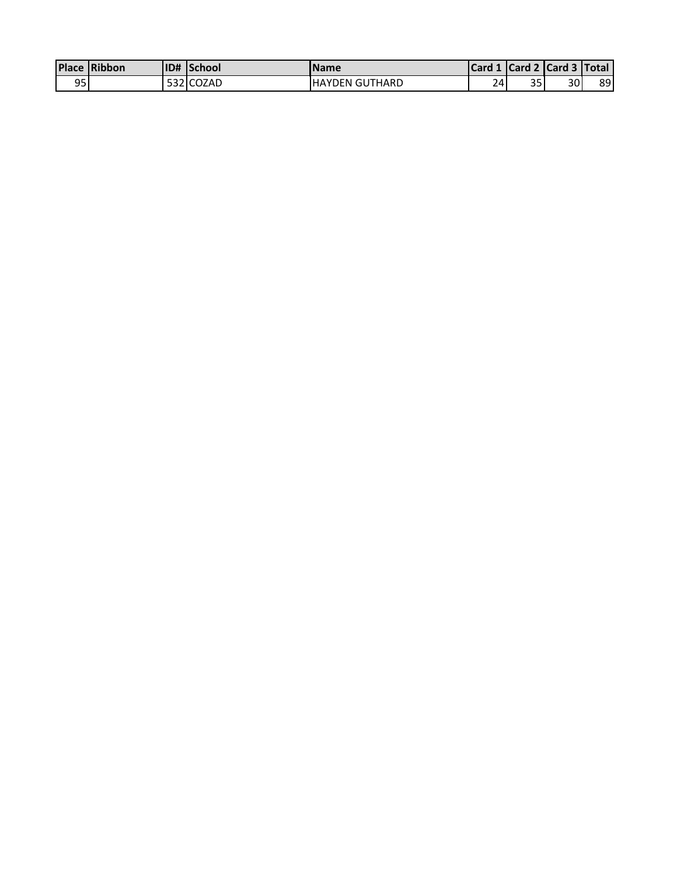|            | <b>Place Ribbon</b> | <b>ID# School</b> | <b>Name</b>            |    |    | Card 1 Card 2 Card 3 Total |    |
|------------|---------------------|-------------------|------------------------|----|----|----------------------------|----|
| ∩⊏<br>ັງລ∙ |                     | 532 COZAD         | <b>IHAYDEN GUTHARD</b> | ב? | 35 | 30                         | 89 |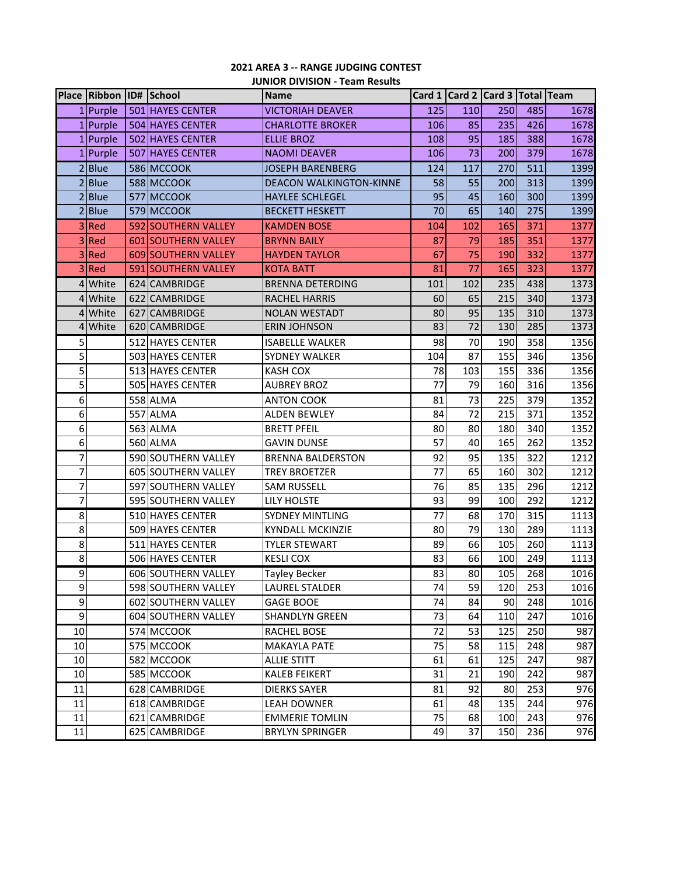## **2021 AREA 3 -- RANGE JUDGING CONTEST JUNIOR DIVISION - Team Results**

|                | Place Ribbon ID# School |                     | <b>Name</b>                    |     |     | Card 1 Card 2 Card 3 Total Team |     |      |
|----------------|-------------------------|---------------------|--------------------------------|-----|-----|---------------------------------|-----|------|
|                | 1 Purple                | 501 HAYES CENTER    | <b>VICTORIAH DEAVER</b>        | 125 | 110 | 250                             | 485 | 1678 |
|                | 1 Purple                | 504 HAYES CENTER    | <b>CHARLOTTE BROKER</b>        | 106 | 85  | 235                             | 426 | 1678 |
|                | 1 Purple                | 502 HAYES CENTER    | <b>ELLIE BROZ</b>              | 108 | 95  | 185                             | 388 | 1678 |
|                | 1 Purple                | 507 HAYES CENTER    | <b>NAOMI DEAVER</b>            | 106 | 73  | 200                             | 379 | 1678 |
|                | 2 Blue                  | 586 MCCOOK          | <b>JOSEPH BARENBERG</b>        | 124 | 117 | 270                             | 511 | 1399 |
| 2              | <b>Blue</b>             | 588 MCCOOK          | <b>DEACON WALKINGTON-KINNE</b> | 58  | 55  | 200                             | 313 | 1399 |
| $\mathfrak{p}$ | <b>Blue</b>             | 577 MCCOOK          | <b>HAYLEE SCHLEGEL</b>         | 95  | 45  | 160                             | 300 | 1399 |
| 2              | <b>Blue</b>             | 579 MCCOOK          | <b>BECKETT HESKETT</b>         | 70  | 65  | 140                             | 275 | 1399 |
| 3              | Red                     | 592 SOUTHERN VALLEY | <b>KAMDEN BOSE</b>             | 104 | 102 | 165                             | 371 | 1377 |
| 3              | Red                     | 601 SOUTHERN VALLEY | <b>BRYNN BAILY</b>             | 87  | 79  | 185                             | 351 | 1377 |
| 3              | Red                     | 609 SOUTHERN VALLEY | <b>HAYDEN TAYLOR</b>           | 67  | 75  | 190                             | 332 | 1377 |
| 3              | Red                     | 591 SOUTHERN VALLEY | <b>KOTA BATT</b>               | 81  | 77  | 165                             | 323 | 1377 |
|                | 4 White                 | 624 CAMBRIDGE       | <b>BRENNA DETERDING</b>        | 101 | 102 | 235                             | 438 | 1373 |
| 4              | White                   | 622 CAMBRIDGE       | <b>RACHEL HARRIS</b>           | 60  | 65  | 215                             | 340 | 1373 |
|                | 4 White                 | 627 CAMBRIDGE       | <b>NOLAN WESTADT</b>           | 80  | 95  | 135                             | 310 | 1373 |
| 4              | White                   | 620 CAMBRIDGE       | <b>ERIN JOHNSON</b>            | 83  | 72  | 130                             | 285 | 1373 |
| 5              |                         | 512 HAYES CENTER    | <b>ISABELLE WALKER</b>         | 98  | 70  | 190                             | 358 | 1356 |
| 5              |                         | 503 HAYES CENTER    | <b>SYDNEY WALKER</b>           | 104 | 87  | 155                             | 346 | 1356 |
| 5              |                         | 513 HAYES CENTER    | <b>KASH COX</b>                | 78  | 103 | 155                             | 336 | 1356 |
| 5              |                         | 505 HAYES CENTER    | <b>AUBREY BROZ</b>             | 77  | 79  | 160                             | 316 | 1356 |
| 6              |                         | 558 ALMA            | <b>ANTON COOK</b>              | 81  | 73  | 225                             | 379 | 1352 |
| 6              |                         | 557 ALMA            | <b>ALDEN BEWLEY</b>            | 84  | 72  | 215                             | 371 | 1352 |
| 6              |                         | 563 ALMA            | <b>BRETT PFEIL</b>             | 80  | 80  | 180                             | 340 | 1352 |
| 6              |                         | 560 ALMA            | <b>GAVIN DUNSE</b>             | 57  | 40  | 165                             | 262 | 1352 |
| 7              |                         | 590 SOUTHERN VALLEY | <b>BRENNA BALDERSTON</b>       | 92  | 95  | 135                             | 322 | 1212 |
| 7              |                         | 605 SOUTHERN VALLEY | <b>TREY BROETZER</b>           | 77  | 65  | 160                             | 302 | 1212 |
| 7              |                         | 597 SOUTHERN VALLEY | <b>SAM RUSSELL</b>             | 76  | 85  | 135                             | 296 | 1212 |
| 7              |                         | 595 SOUTHERN VALLEY | <b>LILY HOLSTE</b>             | 93  | 99  | 100                             | 292 | 1212 |
| 8              |                         | 510 HAYES CENTER    | <b>SYDNEY MINTLING</b>         | 77  | 68  | 170                             | 315 | 1113 |
| 8              |                         | 509 HAYES CENTER    | <b>KYNDALL MCKINZIE</b>        | 80  | 79  | 130                             | 289 | 1113 |
| 8              |                         | 511 HAYES CENTER    | <b>TYLER STEWART</b>           | 89  | 66  | 105                             | 260 | 1113 |
| 8              |                         | 506 HAYES CENTER    | <b>KESLI COX</b>               | 83  | 66  | 100                             | 249 | 1113 |
| 9              |                         | 606 SOUTHERN VALLEY | Tayley Becker                  | 83  | 80  | 105                             | 268 | 1016 |
| 9              |                         | 598 SOUTHERN VALLEY | <b>LAUREL STALDER</b>          | 74  | 59  | 120                             | 253 | 1016 |
| 9              |                         | 602 SOUTHERN VALLEY | <b>GAGE BOOE</b>               | 74  | 84  | 90                              | 248 | 1016 |
| 9              |                         | 604 SOUTHERN VALLEY | <b>SHANDLYN GREEN</b>          | 73  | 64  | 110                             | 247 | 1016 |
| 10             |                         | 574 MCCOOK          | RACHEL BOSE                    | 72  | 53  | 125                             | 250 | 987  |
| 10             |                         | 575 MCCOOK          | <b>MAKAYLA PATE</b>            | 75  | 58  | 115                             | 248 | 987  |
| 10             |                         | 582 MCCOOK          | <b>ALLIE STITT</b>             | 61  | 61  | 125                             | 247 | 987  |
| 10             |                         | 585 MCCOOK          | <b>KALEB FEIKERT</b>           | 31  | 21  | 190                             | 242 | 987  |
| 11             |                         | 628 CAMBRIDGE       | <b>DIERKS SAYER</b>            | 81  | 92  | 80                              | 253 | 976  |
| 11             |                         | 618 CAMBRIDGE       | <b>LEAH DOWNER</b>             | 61  | 48  | 135                             | 244 | 976  |
| 11             |                         | 621 CAMBRIDGE       | <b>EMMERIE TOMLIN</b>          | 75  | 68  | 100                             | 243 | 976  |
| 11             |                         | 625 CAMBRIDGE       | <b>BRYLYN SPRINGER</b>         | 49  | 37  | 150                             | 236 | 976  |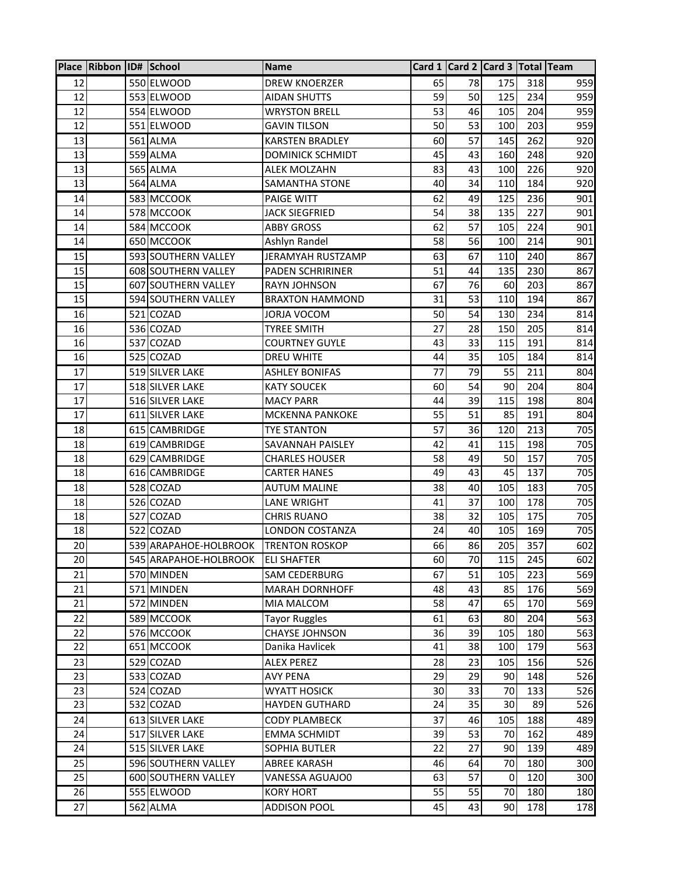|    | Place Ribbon ID# School |                       | <b>Name</b>             |    |    | Card 1   Card 2   Card 3   Total   Team |     |     |
|----|-------------------------|-----------------------|-------------------------|----|----|-----------------------------------------|-----|-----|
| 12 |                         | 550 ELWOOD            | <b>DREW KNOERZER</b>    | 65 | 78 | 175                                     | 318 | 959 |
| 12 |                         | 553 ELWOOD            | <b>AIDAN SHUTTS</b>     | 59 | 50 | 125                                     | 234 | 959 |
| 12 |                         | 554 ELWOOD            | <b>WRYSTON BRELL</b>    | 53 | 46 | 105                                     | 204 | 959 |
| 12 |                         | 551 ELWOOD            | <b>GAVIN TILSON</b>     | 50 | 53 | 100                                     | 203 | 959 |
| 13 |                         | 561 ALMA              | <b>KARSTEN BRADLEY</b>  | 60 | 57 | 145                                     | 262 | 920 |
| 13 |                         | 559 ALMA              | <b>DOMINICK SCHMIDT</b> | 45 | 43 | 160                                     | 248 | 920 |
| 13 |                         | 565 ALMA              | <b>ALEK MOLZAHN</b>     | 83 | 43 | 100                                     | 226 | 920 |
| 13 |                         | 564 ALMA              | <b>SAMANTHA STONE</b>   | 40 | 34 | 110                                     | 184 | 920 |
| 14 |                         | 583 MCCOOK            | PAIGE WITT              | 62 | 49 | 125                                     | 236 | 901 |
| 14 |                         | 578 MCCOOK            | <b>JACK SIEGFRIED</b>   | 54 | 38 | 135                                     | 227 | 901 |
| 14 |                         | 584 MCCOOK            | <b>ABBY GROSS</b>       | 62 | 57 | 105                                     | 224 | 901 |
| 14 |                         | 650 MCCOOK            | Ashlyn Randel           | 58 | 56 | 100                                     | 214 | 901 |
| 15 |                         | 593 SOUTHERN VALLEY   | JERAMYAH RUSTZAMP       | 63 | 67 | 110                                     | 240 | 867 |
| 15 |                         | 608 SOUTHERN VALLEY   | <b>PADEN SCHRIRINER</b> | 51 | 44 | 135                                     | 230 | 867 |
| 15 |                         | 607 SOUTHERN VALLEY   | <b>RAYN JOHNSON</b>     | 67 | 76 | 60                                      | 203 | 867 |
| 15 |                         | 594 SOUTHERN VALLEY   | <b>BRAXTON HAMMOND</b>  | 31 | 53 | 110                                     | 194 | 867 |
| 16 |                         | 521 COZAD             | JORJA VOCOM             | 50 | 54 | 130                                     | 234 | 814 |
| 16 |                         | 536 COZAD             | <b>TYREE SMITH</b>      | 27 | 28 | 150                                     | 205 | 814 |
| 16 |                         | 537 COZAD             | <b>COURTNEY GUYLE</b>   | 43 | 33 | 115                                     | 191 | 814 |
| 16 |                         | 525 COZAD             | <b>DREU WHITE</b>       | 44 | 35 | 105                                     | 184 | 814 |
| 17 |                         | 519 SILVER LAKE       | <b>ASHLEY BONIFAS</b>   | 77 | 79 | 55                                      | 211 | 804 |
| 17 |                         | 518 SILVER LAKE       | <b>KATY SOUCEK</b>      | 60 | 54 | 90                                      | 204 | 804 |
| 17 |                         | 516 SILVER LAKE       | <b>MACY PARR</b>        | 44 | 39 | 115                                     | 198 | 804 |
| 17 |                         | 611 SILVER LAKE       | <b>MCKENNA PANKOKE</b>  | 55 | 51 | 85                                      | 191 | 804 |
| 18 |                         | 615 CAMBRIDGE         | <b>TYE STANTON</b>      | 57 | 36 | 120                                     | 213 | 705 |
| 18 |                         | 619 CAMBRIDGE         | SAVANNAH PAISLEY        | 42 | 41 | 115                                     | 198 | 705 |
| 18 |                         | 629 CAMBRIDGE         | <b>CHARLES HOUSER</b>   | 58 | 49 | 50                                      | 157 | 705 |
| 18 |                         | 616 CAMBRIDGE         | <b>CARTER HANES</b>     | 49 | 43 | 45                                      | 137 | 705 |
| 18 |                         | 528 COZAD             | <b>AUTUM MALINE</b>     | 38 | 40 | 105                                     | 183 | 705 |
| 18 |                         | 526 COZAD             | LANE WRIGHT             | 41 | 37 | 100                                     | 178 | 705 |
| 18 |                         | 527 COZAD             | <b>CHRIS RUANO</b>      | 38 | 32 | 105                                     | 175 | 705 |
| 18 |                         | 522 COZAD             | <b>LONDON COSTANZA</b>  | 24 | 40 | 105                                     | 169 | 705 |
| 20 |                         | 539 ARAPAHOE-HOLBROOK | <b>TRENTON ROSKOP</b>   | 66 | 86 | 205                                     | 357 | 602 |
| 20 |                         | 545 ARAPAHOE-HOLBROOK | <b>ELI SHAFTER</b>      | 60 | 70 | 115                                     | 245 | 602 |
| 21 |                         | 570 MINDEN            | <b>SAM CEDERBURG</b>    | 67 | 51 | 105                                     | 223 | 569 |
| 21 |                         | 571 MINDEN            | <b>MARAH DORNHOFF</b>   | 48 | 43 | 85                                      | 176 | 569 |
| 21 |                         | 572 MINDEN            | MIA MALCOM              | 58 | 47 | 65                                      | 170 | 569 |
| 22 |                         | 589 MCCOOK            | <b>Tayor Ruggles</b>    | 61 | 63 | 80                                      | 204 | 563 |
| 22 |                         | 576 MCCOOK            | <b>CHAYSE JOHNSON</b>   | 36 | 39 | 105                                     | 180 | 563 |
| 22 |                         | 651 MCCOOK            | Danika Havlicek         | 41 | 38 | 100                                     | 179 | 563 |
| 23 |                         | 529 COZAD             | <b>ALEX PEREZ</b>       | 28 | 23 | 105                                     | 156 | 526 |
| 23 |                         | 533 COZAD             | <b>AVY PENA</b>         | 29 | 29 | 90                                      | 148 | 526 |
| 23 |                         | 524 COZAD             | <b>WYATT HOSICK</b>     | 30 | 33 | 70                                      | 133 | 526 |
| 23 |                         | 532 COZAD             | <b>HAYDEN GUTHARD</b>   | 24 | 35 | 30                                      | 89  | 526 |
| 24 |                         | 613 SILVER LAKE       | <b>CODY PLAMBECK</b>    | 37 | 46 | 105                                     | 188 | 489 |
| 24 |                         | 517 SILVER LAKE       | <b>EMMA SCHMIDT</b>     | 39 | 53 | 70                                      | 162 | 489 |
| 24 |                         | 515 SILVER LAKE       | <b>SOPHIA BUTLER</b>    | 22 | 27 | 90                                      | 139 | 489 |
| 25 |                         | 596 SOUTHERN VALLEY   | <b>ABREE KARASH</b>     | 46 | 64 | 70                                      | 180 | 300 |
| 25 |                         | 600 SOUTHERN VALLEY   | VANESSA AGUAJO0         | 63 | 57 | $\overline{0}$                          | 120 | 300 |
| 26 |                         | 555 ELWOOD            | <b>KORY HORT</b>        | 55 | 55 | 70                                      | 180 | 180 |
| 27 |                         | 562 ALMA              | <b>ADDISON POOL</b>     | 45 | 43 | 90                                      | 178 | 178 |